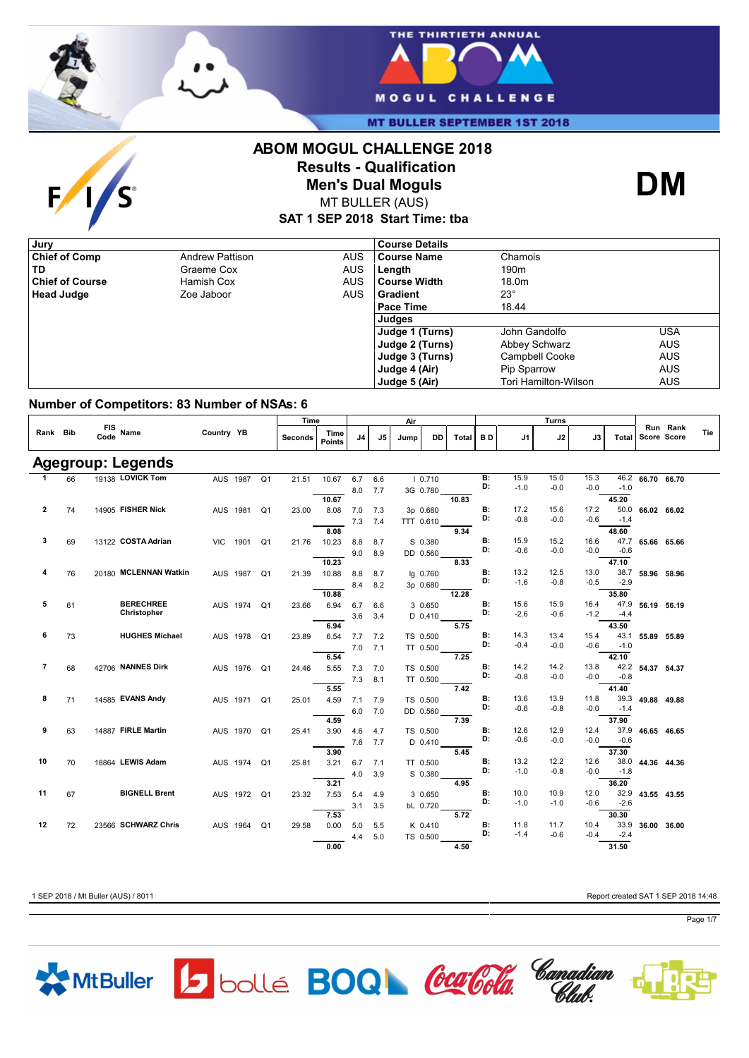



**MT BULLER SEPTEMBER 1ST 2018** 

# $\mathbf{F}$ S

### **ABOM MOGUL CHALLENGE 2018 Results - Qualification Men's Dual Moguls**



MT BULLER (AUS)

**SAT 1 SEP 2018 Start Time: tba**

| Jury                   |                        |            | <b>Course Details</b> |                       |            |
|------------------------|------------------------|------------|-----------------------|-----------------------|------------|
| <b>Chief of Comp</b>   | <b>Andrew Pattison</b> | <b>AUS</b> | Course Name           | Chamois               |            |
| TD                     | Graeme Cox             | <b>AUS</b> | Length                | 190 <sub>m</sub>      |            |
| <b>Chief of Course</b> | Hamish Cox             | <b>AUS</b> | l Course Width        | 18.0m                 |            |
| <b>Head Judge</b>      | Zoe Jaboor             | <b>AUS</b> | Gradient              | $23^\circ$            |            |
|                        |                        |            | Pace Time             | 18.44                 |            |
|                        |                        |            | Judges                |                       |            |
|                        |                        |            | Judge 1 (Turns)       | John Gandolfo         | USA        |
|                        |                        |            | Judge 2 (Turns)       | Abbey Schwarz         | <b>AUS</b> |
|                        |                        |            | Judge 3 (Turns)       | <b>Campbell Cooke</b> | <b>AUS</b> |
|                        |                        |            | Judge 4 (Air)         | Pip Sparrow           | <b>AUS</b> |
|                        |                        |            | Judge 5 (Air)         | Tori Hamilton-Wilson  | <b>AUS</b> |

#### **Number of Competitors: 83 Number of NSAs: 6**

|                          |    |                    |                       |            |             |                | Time    | Air                   |     |                |           |           | Turns |           |        |        |        |        |             |          |     |
|--------------------------|----|--------------------|-----------------------|------------|-------------|----------------|---------|-----------------------|-----|----------------|-----------|-----------|-------|-----------|--------|--------|--------|--------|-------------|----------|-----|
| Rank Bib                 |    | FIS Name<br>Code   |                       | Country YB |             |                | Seconds | Time<br><b>Points</b> | J4  | J <sub>5</sub> | Jump      | DD        | Total | BD.       | J1     | J2     | J3     | Total  | Score Score | Run Rank | Tie |
| <b>Agegroup: Legends</b> |    |                    |                       |            |             |                |         |                       |     |                |           |           |       |           |        |        |        |        |             |          |     |
| 1                        | 66 | 19138 LOVICK Tom   |                       | AUS 1987   |             | Q <sub>1</sub> | 21.51   | 10.67                 | 6.7 | 6.6            |           | 10.710    |       | B:        | 15.9   | 15.0   | 15.3   | 46.2   | 66.70 66.70 |          |     |
|                          |    |                    |                       |            |             |                |         |                       | 8.0 | 7.7            |           | 3G 0.780  |       | D:        | $-1.0$ | $-0.0$ | $-0.0$ | $-1.0$ |             |          |     |
|                          |    |                    |                       |            |             |                |         | 10.67                 |     |                |           |           | 10.83 |           |        |        |        | 45.20  |             |          |     |
| $\overline{\mathbf{2}}$  | 74 | 14905 FISHER Nick  |                       |            | AUS 1981    | Q <sub>1</sub> | 23.00   | 8.08                  | 7.0 | 7.3            |           | 3p 0.680  |       | B:        | 17.2   | 15.6   | 17.2   | 50.0   | 66.02 66.02 |          |     |
|                          |    |                    |                       |            |             |                |         |                       | 7.3 | 7.4            | TTT 0.610 |           |       | D:        | $-0.8$ | $-0.0$ | $-0.6$ | $-1.4$ |             |          |     |
|                          |    |                    |                       |            |             |                |         | 8.08                  |     |                |           |           | 9.34  |           |        |        |        | 48.60  |             |          |     |
| 3                        | 69 | 13122 COSTA Adrian |                       | VIC.       | 1901        | Q <sub>1</sub> | 21.76   | 10.23                 | 8.8 | 8.7            |           | S 0.380   |       | <b>B:</b> | 15.9   | 15.2   | 16.6   | 47.7   | 65.66 65.66 |          |     |
|                          |    |                    |                       |            |             |                |         |                       | 9.0 | 8.9            |           | DD 0.560  |       | D:        | $-0.6$ | $-0.0$ | $-0.0$ | $-0.6$ |             |          |     |
|                          |    |                    |                       |            |             |                |         | 10.23                 |     |                |           |           | 8.33  |           |        |        |        | 47.10  |             |          |     |
| 4                        | 76 |                    | 20180 MCLENNAN Watkin | AUS 1987   |             | Q <sub>1</sub> | 21.39   | 10.88                 | 8.8 | 8.7            |           | lg 0.760  |       | <b>B:</b> | 13.2   | 12.5   | 13.0   | 38.7   | 58.96 58.96 |          |     |
|                          |    |                    |                       |            |             |                |         |                       | 8.4 | 8.2            |           | 3p 0.680  |       | D:        | $-1.6$ | $-0.8$ | $-0.5$ | $-2.9$ |             |          |     |
|                          |    |                    |                       |            |             |                |         | 10.88                 |     |                |           |           | 12.28 |           |        |        |        | 35.80  |             |          |     |
| 5                        | 61 |                    | <b>BERECHREE</b>      |            | AUS 1974 Q1 |                | 23.66   | 6.94                  | 6.7 | 6.6            |           | 3 0.650   |       | B:        | 15.6   | 15.9   | 16.4   | 47.9   | 56.19       | 56.19    |     |
|                          |    |                    | Christopher           |            |             |                |         |                       | 3.6 | 3.4            |           | $D$ 0.410 |       | D:        | $-2.6$ | $-0.6$ | $-1.2$ | $-4.4$ |             |          |     |
|                          |    |                    |                       |            |             |                |         | 6.94                  |     |                |           |           | 5.75  |           |        |        |        | 43.50  |             |          |     |
| 6                        | 73 |                    | <b>HUGHES Michael</b> | AUS 1978   |             | Q1             | 23.89   | 6.54                  | 7.7 | 7.2            |           | TS 0.500  |       | <b>B:</b> | 14.3   | 13.4   | 15.4   | 43.1   | 55.89 55.89 |          |     |
|                          |    |                    |                       |            |             |                |         |                       | 7.0 | 7.1            |           | TT 0.500  |       | D:        | $-0.4$ | $-0.0$ | $-0.6$ | $-1.0$ |             |          |     |
|                          |    |                    |                       |            |             |                |         | 6.54                  |     |                |           |           | 7.25  |           |        |        |        | 42.10  |             |          |     |
| $\overline{\phantom{a}}$ | 68 | 42706 NANNES Dirk  |                       | AUS 1976   |             | Q <sub>1</sub> | 24.46   | 5.55                  | 7.3 | 7.0            |           | TS 0.500  |       | B:        | 14.2   | 14.2   | 13.8   | 42.2   | 54.37 54.37 |          |     |
|                          |    |                    |                       |            |             |                |         |                       | 7.3 | 8.1            |           | TT 0.500  |       | D:        | $-0.8$ | $-0.0$ | $-0.0$ | $-0.8$ |             |          |     |
|                          |    |                    |                       |            |             |                |         | 5.55                  |     |                |           |           | 7.42  |           |        |        |        | 41.40  |             |          |     |
| 8                        | 71 | 14585 EVANS Andy   |                       |            | AUS 1971    | Q1             | 25.01   | 4.59                  | 7.1 | 7.9            |           | TS 0.500  |       | B:        | 13.6   | 13.9   | 11.8   | 39.3   | 49.88 49.88 |          |     |
|                          |    |                    |                       |            |             |                |         |                       | 6.0 | 7.0            |           | DD 0.560  |       | D:        | $-0.6$ | $-0.8$ | $-0.0$ | $-1.4$ |             |          |     |
|                          |    |                    |                       |            |             |                |         | 4.59                  |     |                |           |           | 7.39  |           |        |        |        | 37.90  |             |          |     |
| 9                        | 63 | 14887 FIRLE Martin |                       | AUS 1970   |             | Q1             | 25.41   | 3.90                  | 4.6 | 4.7            |           | TS 0.500  |       | B:        | 12.6   | 12.9   | 12.4   | 37.9   | 46.65 46.65 |          |     |
|                          |    |                    |                       |            |             |                |         |                       | 7.6 | 7.7            |           | $D$ 0.410 |       | D:        | $-0.6$ | $-0.0$ | $-0.0$ | $-0.6$ |             |          |     |
|                          |    |                    |                       |            |             |                |         | 3.90                  |     |                |           |           | 5.45  |           |        |        |        | 37.30  |             |          |     |
| 10                       | 70 | 18864 LEWIS Adam   |                       | AUS 1974   |             | Q <sub>1</sub> | 25.81   | 3.21                  | 6.7 | 7.1            |           | TT 0.500  |       | <b>B:</b> | 13.2   | 12.2   | 12.6   | 38.0   | 44.36 44.36 |          |     |
|                          |    |                    |                       |            |             |                |         |                       | 4.0 | 3.9            |           | S 0.380   |       | D:        | $-1.0$ | $-0.8$ | $-0.0$ | $-1.8$ |             |          |     |
|                          |    |                    |                       |            |             |                |         | 3.21                  |     |                |           |           | 4.95  |           |        |        |        | 36.20  |             |          |     |
| 11                       | 67 |                    | <b>BIGNELL Brent</b>  |            | AUS 1972    | Q1             | 23.32   | 7.53                  | 5.4 | 4.9            |           | 3 0.650   |       | B:        | 10.0   | 10.9   | 12.0   | 32.9   | 43.55 43.55 |          |     |
|                          |    |                    |                       |            |             |                |         |                       | 3.1 | 3.5            |           | bL 0.720  |       | D:        | $-1.0$ | $-1.0$ | $-0.6$ | $-2.6$ |             |          |     |
|                          |    |                    |                       |            |             |                |         | 7.53                  |     |                |           |           | 5.72  |           |        |        |        | 30.30  |             |          |     |
| 12                       | 72 |                    | 23566 SCHWARZ Chris   | AUS 1964   |             | Q1             | 29.58   | 0.00                  | 5.0 | 5.5            |           | K 0.410   |       | <b>B:</b> | 11.8   | 11.7   | 10.4   | 33.9   | 36.00       | 36.00    |     |
|                          |    |                    |                       |            |             |                |         |                       | 4.4 | 5.0            |           | TS 0.500  |       | D:        | $-1.4$ | $-0.6$ | $-0.4$ | $-2.4$ |             |          |     |
|                          |    |                    |                       |            |             |                |         | 0.00                  |     |                |           |           | 4.50  |           |        |        |        | 31.50  |             |          |     |

MtBuller 5 bollé **BOQ** Contra Connadian

1 SEP 2018 / Mt Buller (AUS) / 8011 Report created SAT 1 SEP 2018 14:48